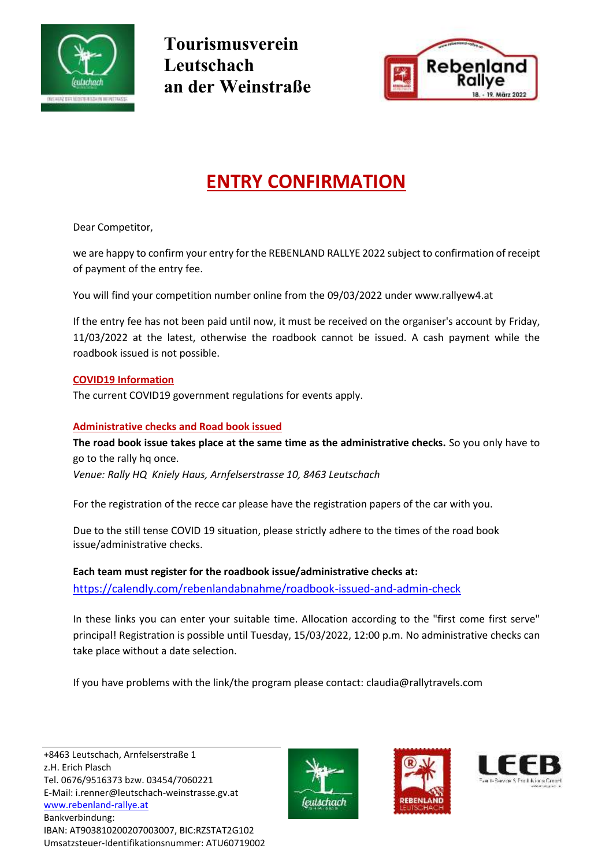



# **ENTRY CONFIRMATION**

Dear Competitor,

we are happy to confirm your entry for the REBENLAND RALLYE 2022 subject to confirmation of receipt of payment of the entry fee.

You will find your competition number online from the 09/03/2022 unde[r www.rallyew4.at](http://www.rallyew4.at/) 

If the entry fee has not been paid until now, it must be received on the organiser's account by Friday, 11/03/2022 at the latest, otherwise the roadbook cannot be issued. A cash payment while the roadbook issued is not possible.

### **COVID19 Information**

The current COVID19 government regulations for events apply.

## **Administrative checks and Road book issued**

**The road book issue takes place at the same time as the administrative checks.** So you only have to go to the rally hq once.

*Venue: Rally HQ Kniely Haus, Arnfelserstrasse 10, 8463 Leutschach*

For the registration of the recce car please have the registration papers of the car with you.

Due to the still tense COVID 19 situation, please strictly adhere to the times of the road book issue/administrative checks.

**Each team must register for the roadbook issue/administrative checks at:** https://calendly.com/rebenlandabnahme/roadbook-issued-and-admin-check

In these links you can enter your suitable time. Allocation according to the "first come first serve" principal! Registration is possible until Tuesday, 15/03/2022, 12:00 p.m. No administrative checks can take place without a date selection.

If you have problems with the link/the program please contact: claudia@rallytravels.com





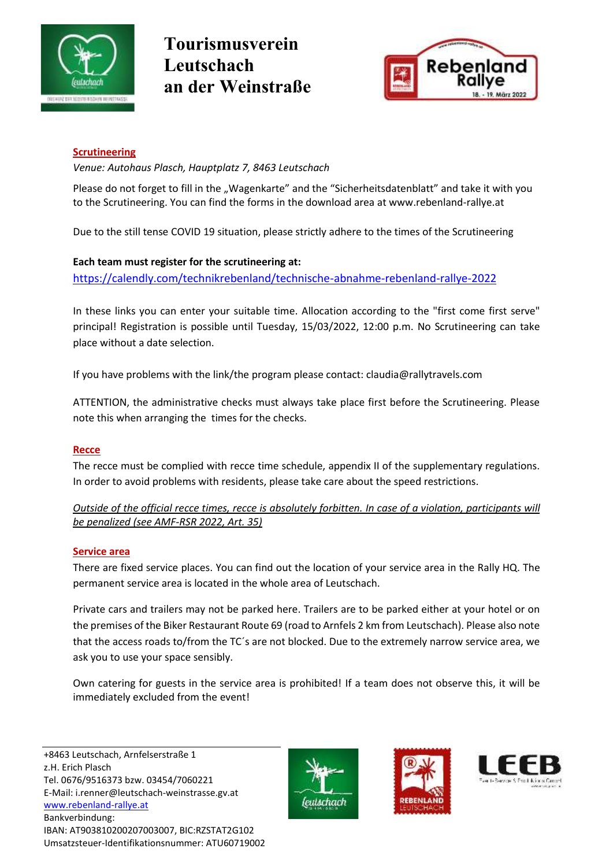



### **Scrutineering**

*Venue: Autohaus Plasch, Hauptplatz 7, 8463 Leutschach*

Please do not forget to fill in the "Wagenkarte" and the "Sicherheitsdatenblatt" and take it with you to the Scrutineering. You can find the forms in the download area at www.rebenland-rallye.at

Due to the still tense COVID 19 situation, please strictly adhere to the times of the Scrutineering

### **Each team must register for the scrutineering at:**

<https://calendly.com/technikrebenland/technische-abnahme-rebenland-rallye-2022>

In these links you can enter your suitable time. Allocation according to the "first come first serve" principal! Registration is possible until Tuesday, 15/03/2022, 12:00 p.m. No Scrutineering can take place without a date selection.

If you have problems with the link/the program please contact: claudia@rallytravels.com

ATTENTION, the administrative checks must always take place first before the Scrutineering. Please note this when arranging the times for the checks.

### **Recce**

The recce must be complied with recce time schedule, appendix II of the supplementary regulations. In order to avoid problems with residents, please take care about the speed restrictions.

*Outside of the official recce times, recce is absolutely forbitten. In case of a violation, participants will be penalized (see AMF-RSR 2022, Art. 35)*

### **Service area**

There are fixed service places. You can find out the location of your service area in the Rally HQ. The permanent service area is located in the whole area of Leutschach.

Private cars and trailers may not be parked here. Trailers are to be parked either at your hotel or on the premises of the Biker Restaurant Route 69 (road to Arnfels 2 km from Leutschach). Please also note that the access roads to/from the TC´s are not blocked. Due to the extremely narrow service area, we ask you to use your space sensibly.

Own catering for guests in the service area is prohibited! If a team does not observe this, it will be immediately excluded from the event!





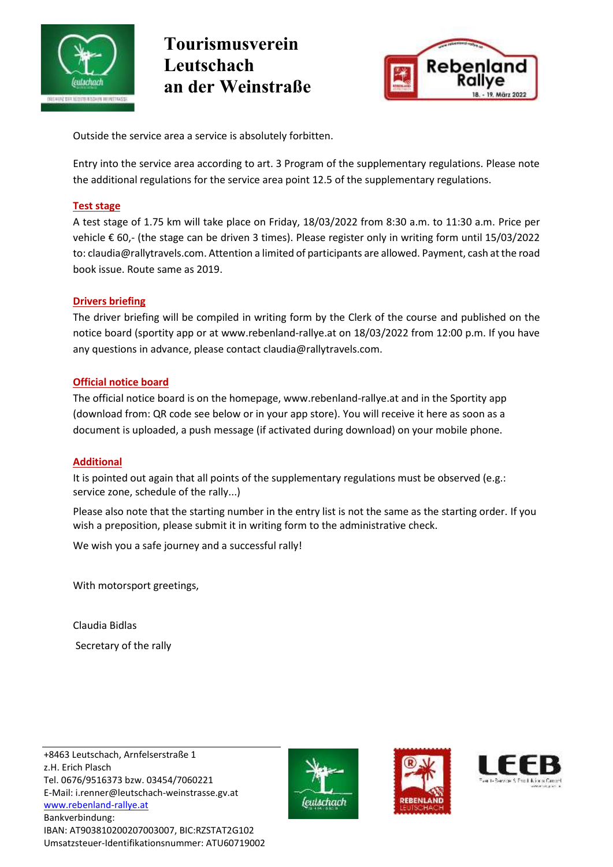



Outside the service area a service is absolutely forbitten.

Entry into the service area according to art. 3 Program of the supplementary regulations. Please note the additional regulations for the service area point 12.5 of the supplementary regulations.

### **Test stage**

A test stage of 1.75 km will take place on Friday, 18/03/2022 from 8:30 a.m. to 11:30 a.m. Price per vehicle € 60,- (the stage can be driven 3 times). Please register only in writing form until 15/03/2022 to: claudia@rallytravels.com. Attention a limited of participants are allowed. Payment, cash at the road book issue. Route same as 2019.

### **Drivers briefing**

The driver briefing will be compiled in writing form by the Clerk of the course and published on the notice board (sportity app or at www.rebenland-rallye.at on 18/03/2022 from 12:00 p.m. If you have any questions in advance, please contact claudia@rallytravels.com.

### **Official notice board**

The official notice board is on the homepage, www.rebenland-rallye.at and in the Sportity app (download from: QR code see below or in your app store). You will receive it here as soon as a document is uploaded, a push message (if activated during download) on your mobile phone.

### **Additional**

It is pointed out again that all points of the supplementary regulations must be observed (e.g.: service zone, schedule of the rally...)

Please also note that the starting number in the entry list is not the same as the starting order. If you wish a preposition, please submit it in writing form to the administrative check.

We wish you a safe journey and a successful rally!

With motorsport greetings,

Claudia Bidlas Secretary of the rally

+8463 Leutschach, Arnfelserstraße 1 z.H. Erich Plasch Tel. 0676/9516373 bzw. 03454/7060221 E-Mail: i.renner@leutschach-weinstrasse.gv.at [www.rebenland-rallye.at](http://www.rebenland-rallye.at/) Bankverbindung: IBAN: AT903810200207003007, BIC:RZSTAT2G102 Umsatzsteuer-Identifikationsnummer: ATU60719002